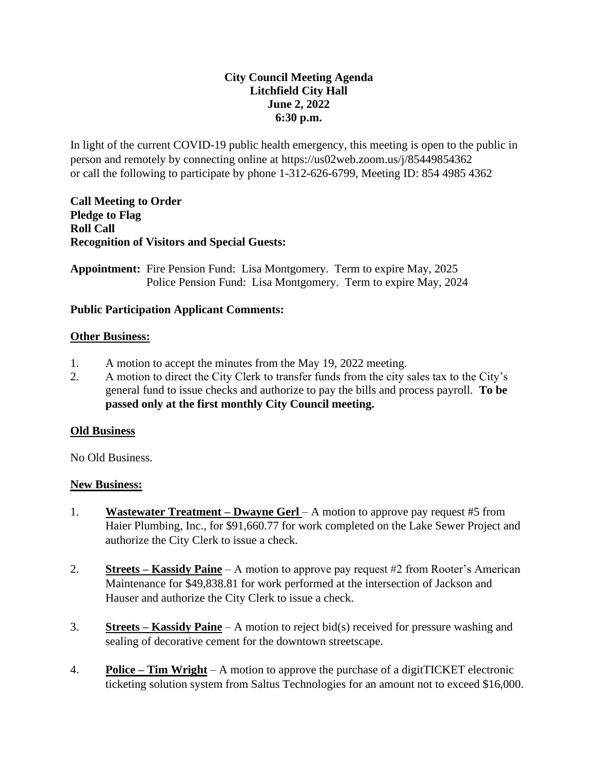## **City Council Meeting Agenda Litchfield City Hall June 2, 2022 6:30 p.m.**

In light of the current COVID-19 public health emergency, this meeting is open to the public in person and remotely by connecting online at https://us02web.zoom.us/j/85449854362 or call the following to participate by phone 1-312-626-6799, Meeting ID: 854 4985 4362

**Call Meeting to Order Pledge to Flag Roll Call Recognition of Visitors and Special Guests:** 

**Appointment:** Fire Pension Fund: Lisa Montgomery. Term to expire May, 2025 Police Pension Fund: Lisa Montgomery. Term to expire May, 2024

## **Public Participation Applicant Comments:**

#### **Other Business:**

- 1. A motion to accept the minutes from the May 19, 2022 meeting.
- 2. A motion to direct the City Clerk to transfer funds from the city sales tax to the City's general fund to issue checks and authorize to pay the bills and process payroll. **To be passed only at the first monthly City Council meeting.**

#### **Old Business**

No Old Business.

#### **New Business:**

- 1. **Wastewater Treatment – Dwayne Gerl**  A motion to approve pay request #5 from Haier Plumbing, Inc., for \$91,660.77 for work completed on the Lake Sewer Project and authorize the City Clerk to issue a check.
- 2. **Streets – Kassidy Paine** A motion to approve pay request #2 from Rooter's American Maintenance for \$49,838.81 for work performed at the intersection of Jackson and Hauser and authorize the City Clerk to issue a check.
- 3. **Streets – Kassidy Paine** A motion to reject bid(s) received for pressure washing and sealing of decorative cement for the downtown streetscape.
- 4. **Police – Tim Wright** A motion to approve the purchase of a digitTICKET electronic ticketing solution system from Saltus Technologies for an amount not to exceed \$16,000.